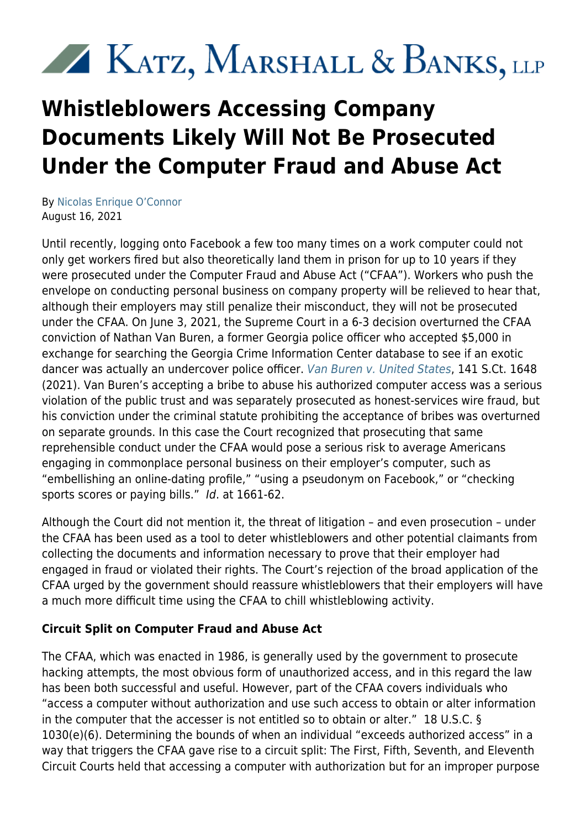# XX KATZ, MARSHALL & BANKS, LLP

# **Whistleblowers Accessing Company Documents Likely Will Not Be Prosecuted Under the Computer Fraud and Abuse Act**

By [Nicolas Enrique O'Connor](https://kmblegal.com/attorneys-and-staff/nicolas-oconnor) August 16, 2021

Until recently, logging onto Facebook a few too many times on a work computer could not only get workers fired but also theoretically land them in prison for up to 10 years if they were prosecuted under the Computer Fraud and Abuse Act ("CFAA"). Workers who push the envelope on conducting personal business on company property will be relieved to hear that, although their employers may still penalize their misconduct, they will not be prosecuted under the CFAA. On June 3, 2021, the Supreme Court in a 6-3 decision overturned the CFAA conviction of Nathan Van Buren, a former Georgia police officer who accepted \$5,000 in exchange for searching the Georgia Crime Information Center database to see if an exotic dancer was actually an undercover police officer. [Van Buren v. United States](https://www.supremecourt.gov/opinions/20pdf/19-783_k53l.pdf), 141 S.Ct. 1648 (2021). Van Buren's accepting a bribe to abuse his authorized computer access was a serious violation of the public trust and was separately prosecuted as honest-services wire fraud, but his conviction under the criminal statute prohibiting the acceptance of bribes was overturned on separate grounds. In this case the Court recognized that prosecuting that same reprehensible conduct under the CFAA would pose a serious risk to average Americans engaging in commonplace personal business on their employer's computer, such as "embellishing an online-dating profile," "using a pseudonym on Facebook," or "checking sports scores or paying bills." Id. at 1661-62.

Although the Court did not mention it, the threat of litigation – and even prosecution – under the CFAA has been used as a tool to deter whistleblowers and other potential claimants from collecting the documents and information necessary to prove that their employer had engaged in fraud or violated their rights. The Court's rejection of the broad application of the CFAA urged by the government should reassure whistleblowers that their employers will have a much more difficult time using the CFAA to chill whistleblowing activity.

# **Circuit Split on Computer Fraud and Abuse Act**

The CFAA, which was enacted in 1986, is generally used by the government to prosecute hacking attempts, the most obvious form of unauthorized access, and in this regard the law has been both successful and useful. However, part of the CFAA covers individuals who "access a computer without authorization and use such access to obtain or alter information in the computer that the accesser is not entitled so to obtain or alter." 18 U.S.C. § 1030(e)(6). Determining the bounds of when an individual "exceeds authorized access" in a way that triggers the CFAA gave rise to a circuit split: The First, Fifth, Seventh, and Eleventh Circuit Courts held that accessing a computer with authorization but for an improper purpose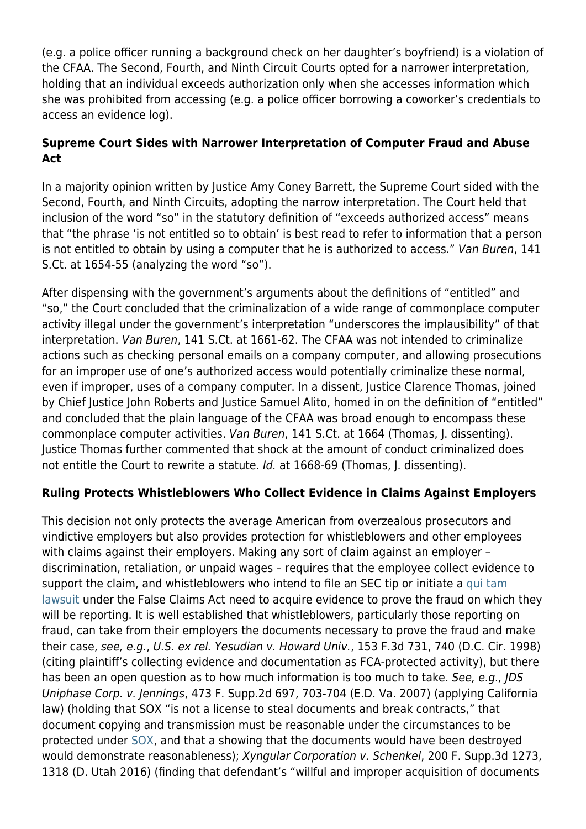(e.g. a police officer running a background check on her daughter's boyfriend) is a violation of the CFAA. The Second, Fourth, and Ninth Circuit Courts opted for a narrower interpretation, holding that an individual exceeds authorization only when she accesses information which she was prohibited from accessing (e.g. a police officer borrowing a coworker's credentials to access an evidence log).

#### **Supreme Court Sides with Narrower Interpretation of Computer Fraud and Abuse Act**

In a majority opinion written by Justice Amy Coney Barrett, the Supreme Court sided with the Second, Fourth, and Ninth Circuits, adopting the narrow interpretation. The Court held that inclusion of the word "so" in the statutory definition of "exceeds authorized access" means that "the phrase 'is not entitled so to obtain' is best read to refer to information that a person is not entitled to obtain by using a computer that he is authorized to access." Van Buren, 141 S.Ct. at 1654-55 (analyzing the word "so").

After dispensing with the government's arguments about the definitions of "entitled" and "so," the Court concluded that the criminalization of a wide range of commonplace computer activity illegal under the government's interpretation "underscores the implausibility" of that interpretation. Van Buren, 141 S.Ct. at 1661-62. The CFAA was not intended to criminalize actions such as checking personal emails on a company computer, and allowing prosecutions for an improper use of one's authorized access would potentially criminalize these normal, even if improper, uses of a company computer. In a dissent, Justice Clarence Thomas, joined by Chief Justice John Roberts and Justice Samuel Alito, homed in on the definition of "entitled" and concluded that the plain language of the CFAA was broad enough to encompass these commonplace computer activities. Van Buren, 141 S.Ct. at 1664 (Thomas, J. dissenting). Justice Thomas further commented that shock at the amount of conduct criminalized does not entitle the Court to rewrite a statute. Id. at 1668-69 (Thomas, J. dissenting).

# **Ruling Protects Whistleblowers Who Collect Evidence in Claims Against Employers**

This decision not only protects the average American from overzealous prosecutors and vindictive employers but also provides protection for whistleblowers and other employees with claims against their employers. Making any sort of claim against an employer – discrimination, retaliation, or unpaid wages – requires that the employee collect evidence to support the claim, and whistleblowers who intend to file an SEC tip or initiate a [qui tam](https://www.kmblegal.com/practice-areas/whistleblower-law/qui-tam-whistleblower-incentives) [lawsuit](https://www.kmblegal.com/practice-areas/whistleblower-law/qui-tam-whistleblower-incentives) under the False Claims Act need to acquire evidence to prove the fraud on which they will be reporting. It is well established that whistleblowers, particularly those reporting on fraud, can take from their employers the documents necessary to prove the fraud and make their case, see, e.g., U.S. ex rel. Yesudian v. Howard Univ., 153 F.3d 731, 740 (D.C. Cir. 1998) (citing plaintiff's collecting evidence and documentation as FCA-protected activity), but there has been an open question as to how much information is too much to take. See, e.g., IDS Uniphase Corp. v. Jennings, 473 F. Supp.2d 697, 703-704 (E.D. Va. 2007) (applying California law) (holding that SOX "is not a license to steal documents and break contracts," that document copying and transmission must be reasonable under the circumstances to be protected under [SOX](https://www.kmblegal.com/resources/sarbanes-oxley), and that a showing that the documents would have been destroyed would demonstrate reasonableness); Xyngular Corporation v. Schenkel, 200 F. Supp.3d 1273, 1318 (D. Utah 2016) (finding that defendant's "willful and improper acquisition of documents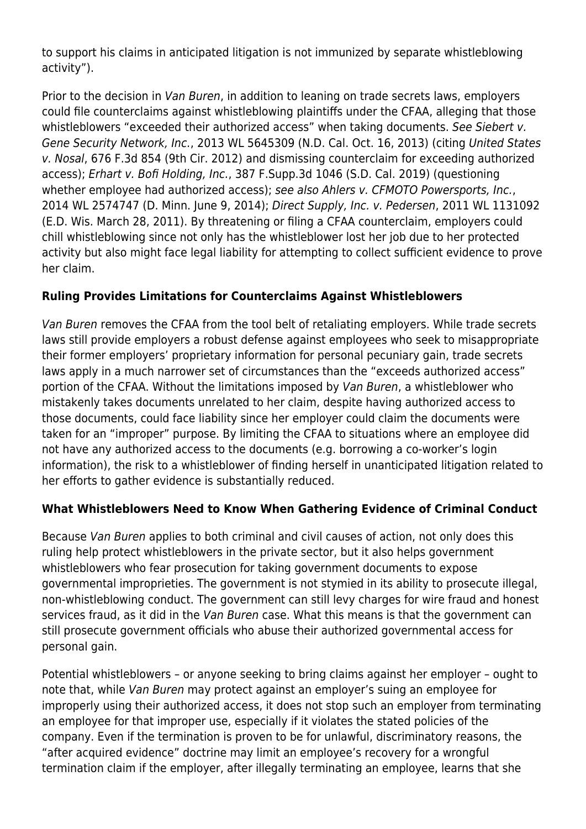to support his claims in anticipated litigation is not immunized by separate whistleblowing activity").

Prior to the decision in Van Buren, in addition to leaning on trade secrets laws, employers could file counterclaims against whistleblowing plaintiffs under the CFAA, alleging that those whistleblowers "exceeded their authorized access" when taking documents. See Siebert v. Gene Security Network, Inc., 2013 WL 5645309 (N.D. Cal. Oct. 16, 2013) (citing United States v. Nosal, 676 F.3d 854 (9th Cir. 2012) and dismissing counterclaim for exceeding authorized access); Erhart v. Bofi Holding, Inc., 387 F.Supp.3d 1046 (S.D. Cal. 2019) (questioning whether employee had authorized access); see also Ahlers v. CFMOTO Powersports, Inc., 2014 WL 2574747 (D. Minn. June 9, 2014); Direct Supply, Inc. v. Pedersen, 2011 WL 1131092 (E.D. Wis. March 28, 2011). By threatening or filing a CFAA counterclaim, employers could chill whistleblowing since not only has the whistleblower lost her job due to her protected activity but also might face legal liability for attempting to collect sufficient evidence to prove her claim.

# **Ruling Provides Limitations for Counterclaims Against Whistleblowers**

Van Buren removes the CFAA from the tool belt of retaliating employers. While trade secrets laws still provide employers a robust defense against employees who seek to misappropriate their former employers' proprietary information for personal pecuniary gain, trade secrets laws apply in a much narrower set of circumstances than the "exceeds authorized access" portion of the CFAA. Without the limitations imposed by Van Buren, a whistleblower who mistakenly takes documents unrelated to her claim, despite having authorized access to those documents, could face liability since her employer could claim the documents were taken for an "improper" purpose. By limiting the CFAA to situations where an employee did not have any authorized access to the documents (e.g. borrowing a co-worker's login information), the risk to a whistleblower of finding herself in unanticipated litigation related to her efforts to gather evidence is substantially reduced.

#### **What Whistleblowers Need to Know When Gathering Evidence of Criminal Conduct**

Because Van Buren applies to both criminal and civil causes of action, not only does this ruling help protect whistleblowers in the private sector, but it also helps government whistleblowers who fear prosecution for taking government documents to expose governmental improprieties. The government is not stymied in its ability to prosecute illegal, non-whistleblowing conduct. The government can still levy charges for wire fraud and honest services fraud, as it did in the Van Buren case. What this means is that the government can still prosecute government officials who abuse their authorized governmental access for personal gain.

Potential whistleblowers – or anyone seeking to bring claims against her employer – ought to note that, while Van Buren may protect against an employer's suing an employee for improperly using their authorized access, it does not stop such an employer from terminating an employee for that improper use, especially if it violates the stated policies of the company. Even if the termination is proven to be for unlawful, discriminatory reasons, the "after acquired evidence" doctrine may limit an employee's recovery for a wrongful termination claim if the employer, after illegally terminating an employee, learns that she